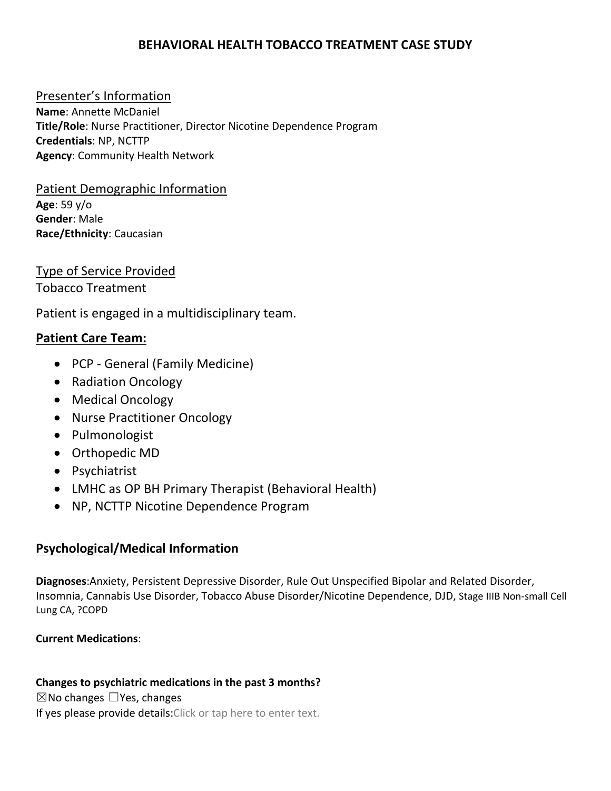# **BEHAVIORAL HEALTH TOBACCO TREATMENT CASE STUDY**

## Presenter's Information

**Name**: Annette McDaniel **Title/Role**: Nurse Practitioner, Director Nicotine Dependence Program **Credentials**: NP, NCTTP **Agency**: Community Health Network

### Patient Demographic Information **Age**: 59 y/o

**Gender**: Male **Race/Ethnicity**: Caucasian

# Type of Service Provided

Tobacco Treatment

Patient is engaged in a multidisciplinary team.

## **Patient Care Team:**

- PCP General (Family Medicine)
- Radiation Oncology
- Medical Oncology
- Nurse Practitioner Oncology
- Pulmonologist
- Orthopedic MD
- Psychiatrist
- LMHC as OP BH Primary Therapist (Behavioral Health)
- NP, NCTTP Nicotine Dependence Program

# **Psychological/Medical Information**

**Diagnoses**:Anxiety, Persistent Depressive Disorder, Rule Out Unspecified Bipolar and Related Disorder, Insomnia, Cannabis Use Disorder, Tobacco Abuse Disorder/Nicotine Dependence, DJD, Stage IIIB Non‐small Cell Lung CA, ?COPD

## **Current Medications**:

## **Changes to psychiatric medications in the past 3 months?**

 $\boxtimes$ No changes  $\Box$ Yes, changes

If yes please provide details: Click or tap here to enter text.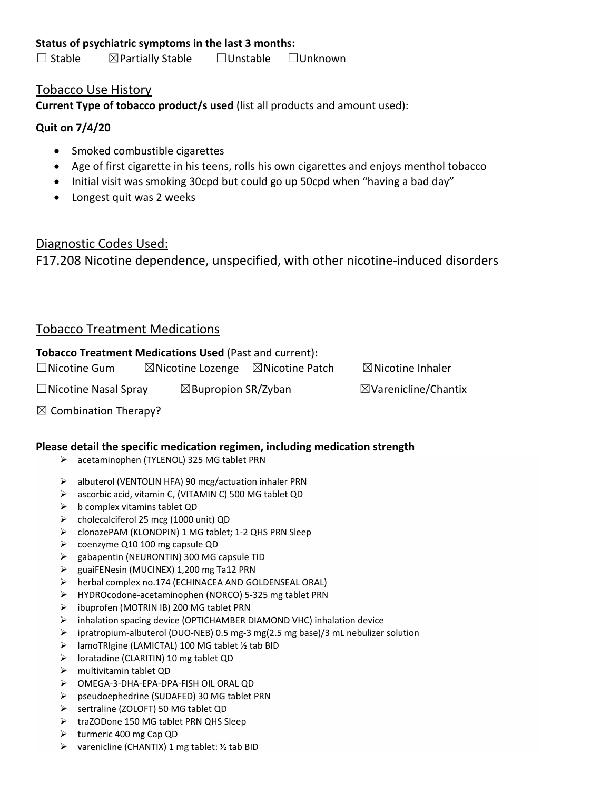☐ Stable ☒Partially Stable ☐Unstable ☐Unknown

### Tobacco Use History

**Current Type of tobacco product/s used** (list all products and amount used):

### **Quit on 7/4/20**

- Smoked combustible cigarettes
- Age of first cigarette in his teens, rolls his own cigarettes and enjoys menthol tobacco
- Initial visit was smoking 30cpd but could go up 50cpd when "having a bad day"
- Longest quit was 2 weeks

# Diagnostic Codes Used: F17.208 Nicotine dependence, unspecified, with other nicotine‐induced disorders

# Tobacco Treatment Medications

### **Tobacco Treatment Medications Used** (Past and current)**:**

☐Nicotine Gum ☒Nicotine Lozenge ☒Nicotine Patch ☒Nicotine Inhaler

☐Nicotine Nasal Spray ☒Bupropion SR/Zyban ☒Varenicline/Chantix

 $\boxtimes$  Combination Therapy?

### **Please detail the specific medication regimen, including medication strength**

- acetaminophen (TYLENOL) 325 MG tablet PRN
- albuterol (VENTOLIN HFA) 90 mcg/actuation inhaler PRN
- ascorbic acid, vitamin C, (VITAMIN C) 500 MG tablet QD
- $\triangleright$  b complex vitamins tablet QD
- $\triangleright$  cholecalciferol 25 mcg (1000 unit) QD
- clonazePAM (KLONOPIN) 1 MG tablet; 1‐2 QHS PRN Sleep
- coenzyme Q10 100 mg capsule QD
- $\triangleright$  gabapentin (NEURONTIN) 300 MG capsule TID
- guaiFENesin (MUCINEX) 1,200 mg Ta12 PRN
- herbal complex no.174 (ECHINACEA AND GOLDENSEAL ORAL)
- HYDROcodone‐acetaminophen (NORCO) 5‐325 mg tablet PRN
- ibuprofen (MOTRIN IB) 200 MG tablet PRN
- inhalation spacing device (OPTICHAMBER DIAMOND VHC) inhalation device
- ipratropium‐albuterol (DUO‐NEB) 0.5 mg‐3 mg(2.5 mg base)/3 mL nebulizer solution
- $\triangleright$  lamoTRIgine (LAMICTAL) 100 MG tablet 1/2 tab BID
- loratadine (CLARITIN) 10 mg tablet QD
- multivitamin tablet QD
- OMEGA‐3‐DHA‐EPA‐DPA‐FISH OIL ORAL QD
- pseudoephedrine (SUDAFED) 30 MG tablet PRN
- $\triangleright$  sertraline (ZOLOFT) 50 MG tablet QD
- traZODone 150 MG tablet PRN QHS Sleep
- $\triangleright$  turmeric 400 mg Cap QD
- $\triangleright$  varenicline (CHANTIX) 1 mg tablet: ½ tab BID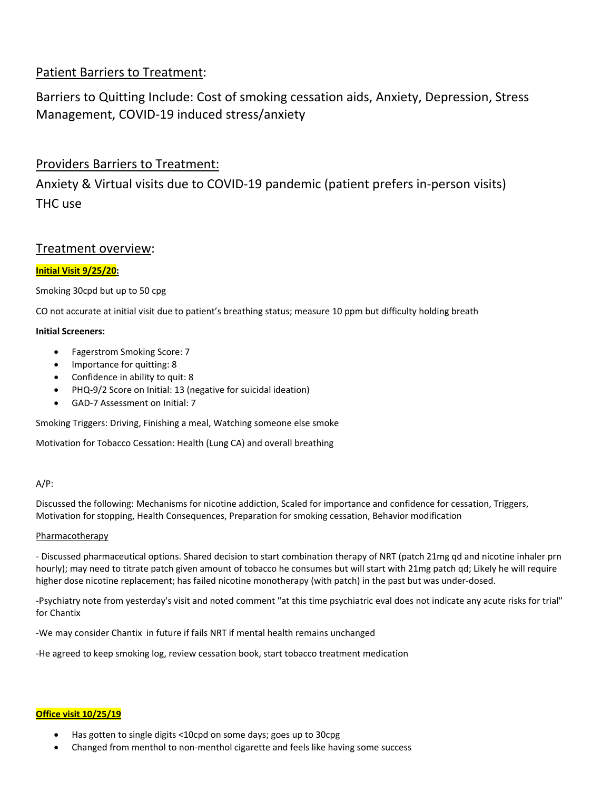## Patient Barriers to Treatment:

Barriers to Quitting Include: Cost of smoking cessation aids, Anxiety, Depression, Stress Management, COVID‐19 induced stress/anxiety

## Providers Barriers to Treatment:

Anxiety & Virtual visits due to COVID‐19 pandemic (patient prefers in‐person visits) THC use

### Treatment overview:

### **Initial Visit 9/25/20:**

Smoking 30cpd but up to 50 cpg

CO not accurate at initial visit due to patient's breathing status; measure 10 ppm but difficulty holding breath

#### **Initial Screeners:**

- Fagerstrom Smoking Score: 7
- Importance for quitting: 8
- Confidence in ability to quit: 8
- PHQ‐9/2 Score on Initial: 13 (negative for suicidal ideation)
- GAD‐7 Assessment on Initial: 7

Smoking Triggers: Driving, Finishing a meal, Watching someone else smoke

Motivation for Tobacco Cessation: Health (Lung CA) and overall breathing

### A/P:

Discussed the following: Mechanisms for nicotine addiction, Scaled for importance and confidence for cessation, Triggers, Motivation for stopping, Health Consequences, Preparation for smoking cessation, Behavior modification

#### Pharmacotherapy

‐ Discussed pharmaceutical options. Shared decision to start combination therapy of NRT (patch 21mg qd and nicotine inhaler prn hourly); may need to titrate patch given amount of tobacco he consumes but will start with 21mg patch qd; Likely he will require higher dose nicotine replacement; has failed nicotine monotherapy (with patch) in the past but was under‐dosed.

‐Psychiatry note from yesterday's visit and noted comment "at this time psychiatric eval does not indicate any acute risks for trial" for Chantix

‐We may consider Chantix in future if fails NRT if mental health remains unchanged

‐He agreed to keep smoking log, review cessation book, start tobacco treatment medication

### **Office visit 10/25/19**

- Has gotten to single digits <10cpd on some days; goes up to 30cpg
- Changed from menthol to non‐menthol cigarette and feels like having some success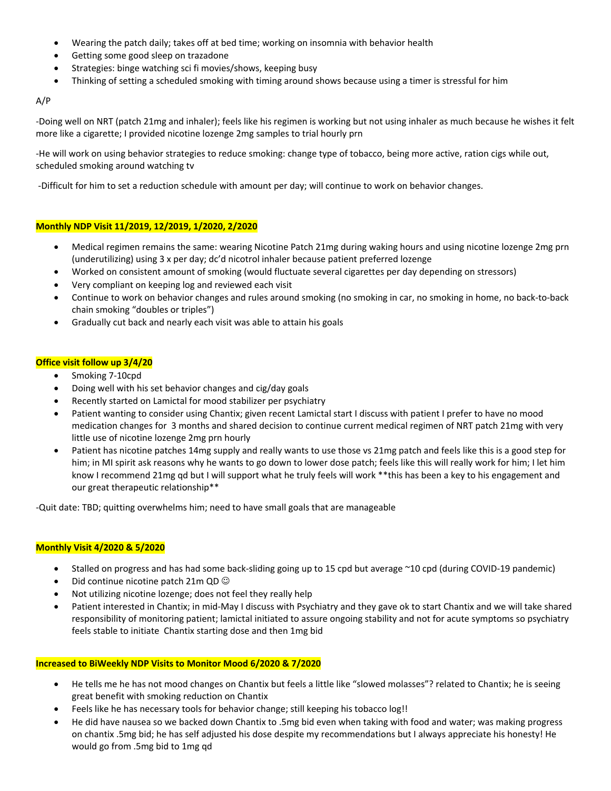- Wearing the patch daily; takes off at bed time; working on insomnia with behavior health
- Getting some good sleep on trazadone
- Strategies: binge watching sci fi movies/shows, keeping busy
- Thinking of setting a scheduled smoking with timing around shows because using a timer is stressful for him

#### A/P

‐Doing well on NRT (patch 21mg and inhaler); feels like his regimen is working but not using inhaler as much because he wishes it felt more like a cigarette; I provided nicotine lozenge 2mg samples to trial hourly prn

‐He will work on using behavior strategies to reduce smoking: change type of tobacco, being more active, ration cigs while out, scheduled smoking around watching tv

‐Difficult for him to set a reduction schedule with amount per day; will continue to work on behavior changes.

#### **Monthly NDP Visit 11/2019, 12/2019, 1/2020, 2/2020**

- Medical regimen remains the same: wearing Nicotine Patch 21mg during waking hours and using nicotine lozenge 2mg prn (underutilizing) using 3 x per day; dc'd nicotrol inhaler because patient preferred lozenge
- Worked on consistent amount of smoking (would fluctuate several cigarettes per day depending on stressors)
- Very compliant on keeping log and reviewed each visit
- Continue to work on behavior changes and rules around smoking (no smoking in car, no smoking in home, no back‐to‐back chain smoking "doubles or triples")
- Gradually cut back and nearly each visit was able to attain his goals

#### **Office visit follow up 3/4/20**

- Smoking 7-10cpd
- Doing well with his set behavior changes and cig/day goals
- Recently started on Lamictal for mood stabilizer per psychiatry
- Patient wanting to consider using Chantix; given recent Lamictal start I discuss with patient I prefer to have no mood medication changes for 3 months and shared decision to continue current medical regimen of NRT patch 21mg with very little use of nicotine lozenge 2mg prn hourly
- Patient has nicotine patches 14mg supply and really wants to use those vs 21mg patch and feels like this is a good step for him; in MI spirit ask reasons why he wants to go down to lower dose patch; feels like this will really work for him; I let him know I recommend 21mg qd but I will support what he truly feels will work \*\*this has been a key to his engagement and our great therapeutic relationship\*\*

‐Quit date: TBD; quitting overwhelms him; need to have small goals that are manageable

#### **Monthly Visit 4/2020 & 5/2020**

- Stalled on progress and has had some back‐sliding going up to 15 cpd but average ~10 cpd (during COVID‐19 pandemic)
- Did continue nicotine patch 21m QD
- Not utilizing nicotine lozenge; does not feel they really help
- Patient interested in Chantix; in mid‐May I discuss with Psychiatry and they gave ok to start Chantix and we will take shared responsibility of monitoring patient; lamictal initiated to assure ongoing stability and not for acute symptoms so psychiatry feels stable to initiate Chantix starting dose and then 1mg bid

#### **Increased to BiWeekly NDP Visits to Monitor Mood 6/2020 & 7/2020**

- He tells me he has not mood changes on Chantix but feels a little like "slowed molasses"? related to Chantix; he is seeing great benefit with smoking reduction on Chantix
- Feels like he has necessary tools for behavior change; still keeping his tobacco log!!
- He did have nausea so we backed down Chantix to .5mg bid even when taking with food and water; was making progress on chantix .5mg bid; he has self adjusted his dose despite my recommendations but I always appreciate his honesty! He would go from .5mg bid to 1mg qd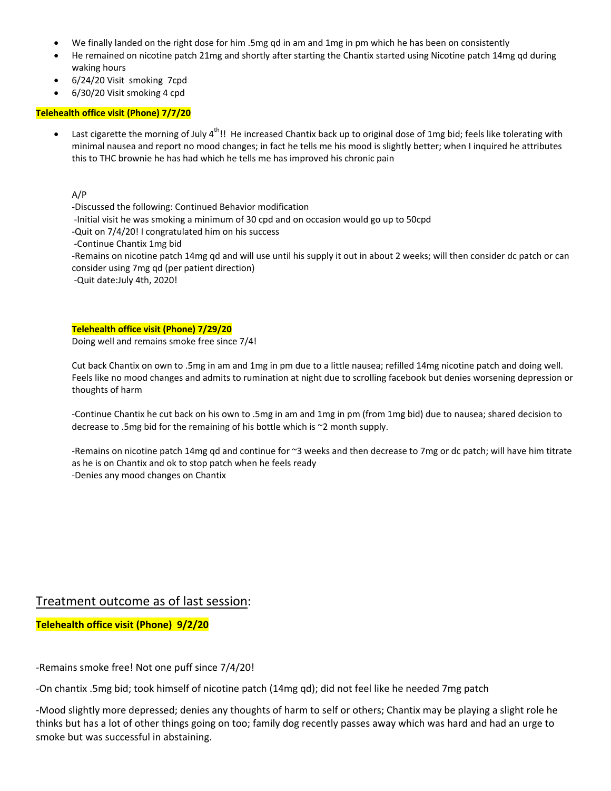- We finally landed on the right dose for him .5mg qd in am and 1mg in pm which he has been on consistently
- He remained on nicotine patch 21mg and shortly after starting the Chantix started using Nicotine patch 14mg qd during waking hours
- 6/24/20 Visit smoking 7cpd
- 6/30/20 Visit smoking 4 cpd

#### **Telehealth office visit (Phone) 7/7/20**

Last cigarette the morning of July 4<sup>th</sup>!! He increased Chantix back up to original dose of 1mg bid; feels like tolerating with minimal nausea and report no mood changes; in fact he tells me his mood is slightly better; when I inquired he attributes this to THC brownie he has had which he tells me has improved his chronic pain

A/P

- ‐Discussed the following: Continued Behavior modification
- ‐Initial visit he was smoking a minimum of 30 cpd and on occasion would go up to 50cpd
- ‐Quit on 7/4/20! I congratulated him on his success
- ‐Continue Chantix 1mg bid

‐Remains on nicotine patch 14mg qd and will use until his supply it out in about 2 weeks; will then consider dc patch or can consider using 7mg qd (per patient direction)

‐Quit date:July 4th, 2020!

**Telehealth office visit (Phone) 7/29/20**  Doing well and remains smoke free since 7/4!

Cut back Chantix on own to .5mg in am and 1mg in pm due to a little nausea; refilled 14mg nicotine patch and doing well. Feels like no mood changes and admits to rumination at night due to scrolling facebook but denies worsening depression or thoughts of harm

‐Continue Chantix he cut back on his own to .5mg in am and 1mg in pm (from 1mg bid) due to nausea; shared decision to decrease to .5mg bid for the remaining of his bottle which is ~2 month supply.

‐Remains on nicotine patch 14mg qd and continue for ~3 weeks and then decrease to 7mg or dc patch; will have him titrate as he is on Chantix and ok to stop patch when he feels ready ‐Denies any mood changes on Chantix

### Treatment outcome as of last session:

**Telehealth office visit (Phone) 9/2/20** 

‐Remains smoke free! Not one puff since 7/4/20!

‐On chantix .5mg bid; took himself of nicotine patch (14mg qd); did not feel like he needed 7mg patch

‐Mood slightly more depressed; denies any thoughts of harm to self or others; Chantix may be playing a slight role he thinks but has a lot of other things going on too; family dog recently passes away which was hard and had an urge to smoke but was successful in abstaining.